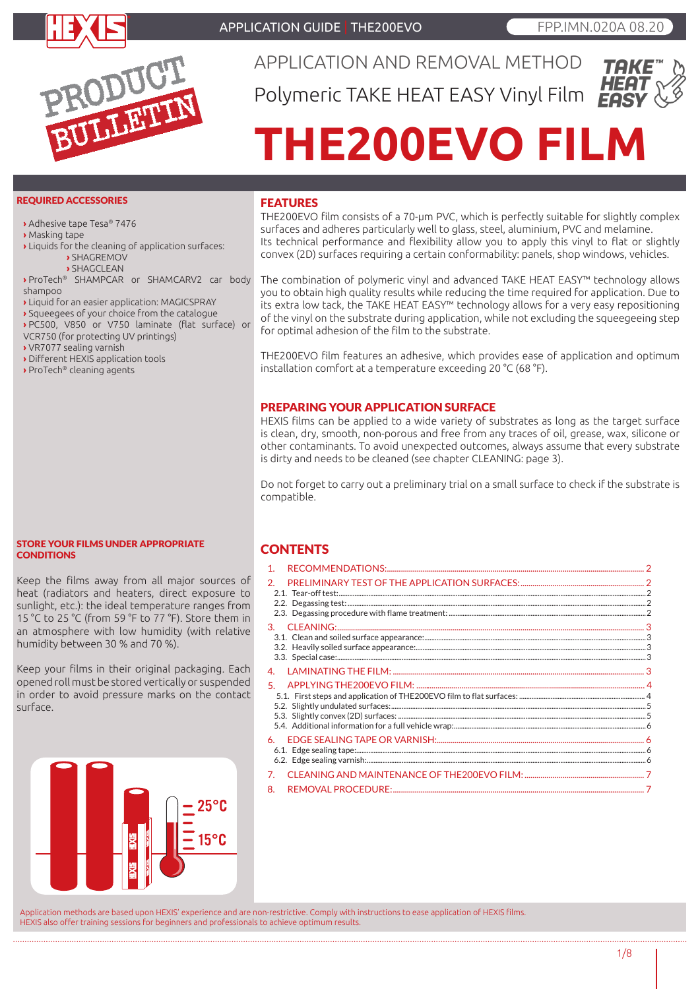

APPLICATION GUIDE | THE200EVO **FPP.IMN.020A 08.20** 



APPLICATION AND REMOVAL METHOD Polymeric TAKE HEAT EASY Vinyl Film



# **THE200EVO FILM**

#### REQUIRED ACCESSORIES

**›** Adhesive tape Tesa® 7476

- **›** Masking tape
- **›** Liquids for the cleaning of application surfaces:
	- **›** SHAGREMOV
	- **›** SHAGCLEAN
- **›** ProTech® SHAMPCAR or SHAMCARV2 car body shampoo
- **›** Liquid for an easier application: MAGICSPRAY
- **›** Squeegees of your choice from the catalogue
- **›** PC500, V850 or V750 laminate (flat surface) or
- VCR750 (for protecting UV printings)
- **›** VR7077 sealing varnish
- **›** Different HEXIS application tools
- **›** ProTech® cleaning agents

#### FEATURES

THE200EVO film consists of a 70-μm PVC, which is perfectly suitable for slightly complex surfaces and adheres particularly well to glass, steel, aluminium, PVC and melamine. Its technical performance and flexibility allow you to apply this vinyl to flat or slightly convex (2D) surfaces requiring a certain conformability: panels, shop windows, vehicles.

The combination of polymeric vinyl and advanced TAKE HEAT EASY™ technology allows you to obtain high quality results while reducing the time required for application. Due to its extra low tack, the TAKE HEAT EASY™ technology allows for a very easy repositioning of the vinyl on the substrate during application, while not excluding the squeegeeing step for optimal adhesion of the film to the substrate.

THE200EVO film features an adhesive, which provides ease of application and optimum installation comfort at a temperature exceeding 20 °C (68 °F).

#### PREPARING YOUR APPLICATION SURFACE

HEXIS films can be applied to a wide variety of substrates as long as the target surface is clean, dry, smooth, non-porous and free from any traces of oil, grease, wax, silicone or other contaminants. To avoid unexpected outcomes, always assume that every substrate is dirty and needs to be cleaned (see chapter CLEANING: page 3).

Do not forget to carry out a preliminary trial on a small surface to check if the substrate is compatible.

#### STORE YOUR FILMS UNDER APPROPRIATE **CONDITIONS**

Keep the films away from all major sources of heat (radiators and heaters, direct exposure to sunlight, etc.): the ideal temperature ranges from 15 °C to 25 °C (from 59 °F to 77 °F). Store them in an atmosphere with low humidity (with relative humidity between 30 % and 70 %).

Keep your films in their original packaging. Each opened roll must be stored vertically or suspended in order to avoid pressure marks on the contact surface.



#### **CONTENTS**

| 1 <sub>1</sub> |  |
|----------------|--|
| 2.             |  |
|                |  |
|                |  |
| 5.             |  |
| 6.             |  |
| 7.             |  |
| 8.             |  |

Application methods are based upon HEXIS' experience and are non-restrictive. Comply with instructions to ease application of HEXIS films. HEXIS also offer training sessions for beginners and professionals to achieve optimum results.

1/8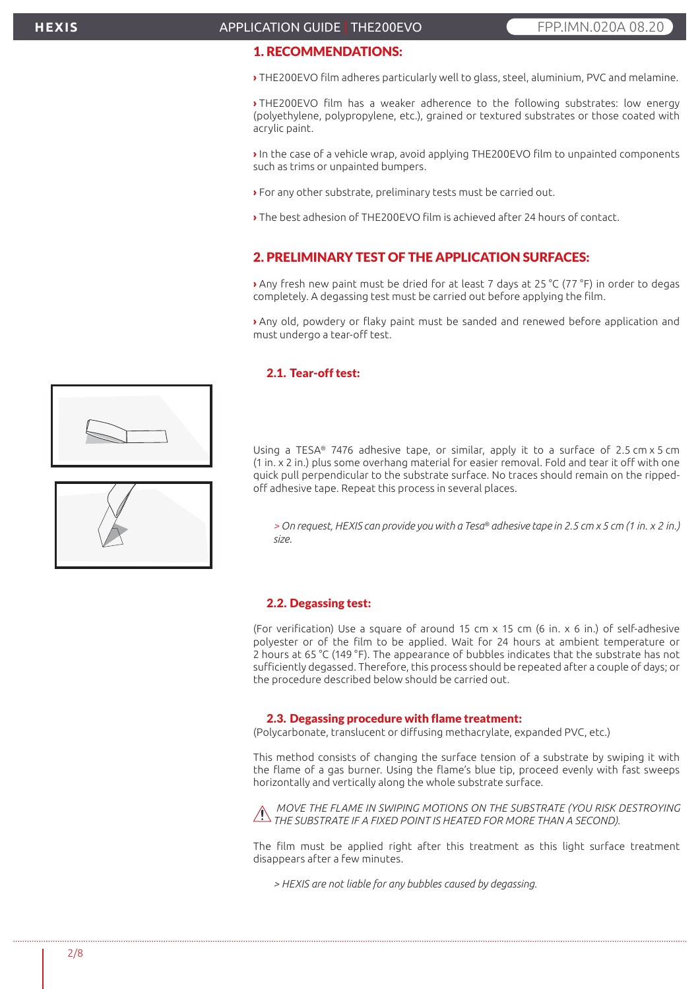#### APPLICATION GUIDE | THE200EVO **FPP.IMN.020A 08.20**

# 1. RECOMMENDATIONS:

**›** THE200EVO film adheres particularly well to glass, steel, aluminium, PVC and melamine.

**›** THE200EVO film has a weaker adherence to the following substrates: low energy (polyethylene, polypropylene, etc.), grained or textured substrates or those coated with acrylic paint.

**›** In the case of a vehicle wrap, avoid applying THE200EVO film to unpainted components such as trims or unpainted bumpers.

- **›** For any other substrate, preliminary tests must be carried out.
- **›** The best adhesion of THE200EVO film is achieved after 24 hours of contact.

# 2. PRELIMINARY TEST OF THE APPLICATION SURFACES:

**›** Any fresh new paint must be dried for at least 7 days at 25 °C (77 °F) in order to degas completely. A degassing test must be carried out before applying the film.

**›** Any old, powdery or flaky paint must be sanded and renewed before application and must undergo a tear-off test.

#### 2.1. Tear-off test:

Using a TESA® 7476 adhesive tape, or similar, apply it to a surface of 2.5 cm x 5 cm (1 in. x 2 in.) plus some overhang material for easier removal. Fold and tear it off with one quick pull perpendicular to the substrate surface. No traces should remain on the rippedoff adhesive tape. Repeat this process in several places.

*> On request, HEXIS can provide you with a Tesa® adhesive tape in 2.5 cm x 5 cm (1 in. x 2 in.) size.*

#### 2.2. Degassing test:

(For verification) Use a square of around 15 cm x 15 cm (6 in. x 6 in.) of self-adhesive polyester or of the film to be applied. Wait for 24 hours at ambient temperature or 2 hours at 65 °C (149 °F). The appearance of bubbles indicates that the substrate has not sufficiently degassed. Therefore, this process should be repeated after a couple of days; or the procedure described below should be carried out.

#### 2.3. Degassing procedure with flame treatment:

(Polycarbonate, translucent or diffusing methacrylate, expanded PVC, etc.)

This method consists of changing the surface tension of a substrate by swiping it with the flame of a gas burner. Using the flame's blue tip, proceed evenly with fast sweeps horizontally and vertically along the whole substrate surface.

 *MOVE THE FLAME IN SWIPING MOTIONS ON THE SUBSTRATE (YOU RISK DESTROYING THE SUBSTRATE IF A FIXED POINT IS HEATED FOR MORE THAN A SECOND).*

The film must be applied right after this treatment as this light surface treatment disappears after a few minutes.

*> HEXIS are not liable for any bubbles caused by degassing.*



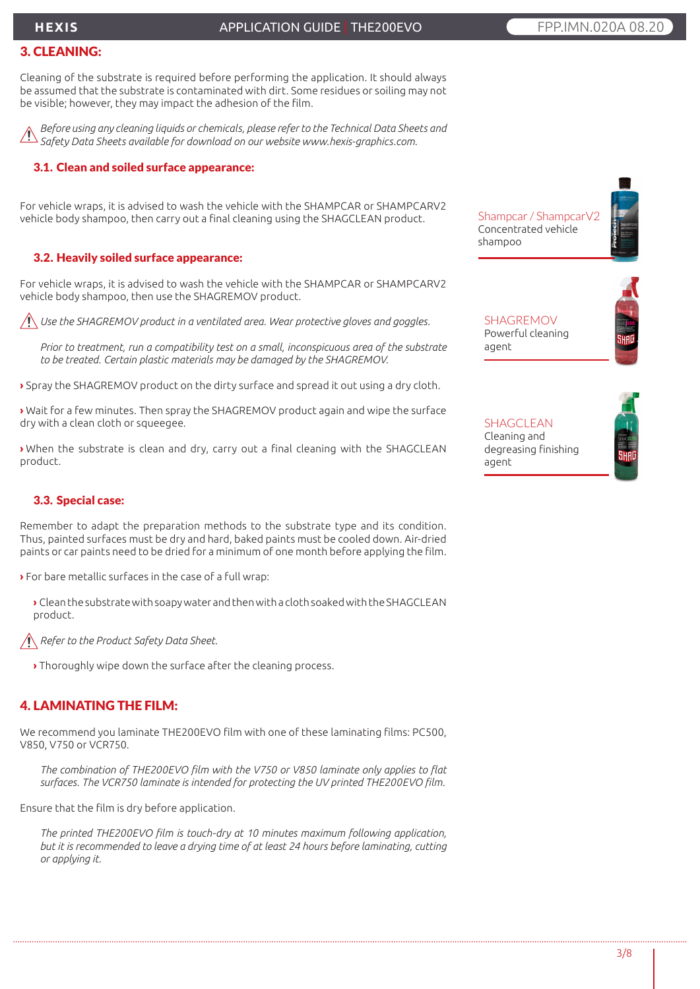# **HEXIS**

#### APPLICATION GUIDE | THE200EVO **FPP.IMM.020A 08.20**

# 3. CLEANING:

Cleaning of the substrate is required before performing the application. It should always be assumed that the substrate is contaminated with dirt. Some residues or soiling may not be visible; however, they may impact the adhesion of the film.

*Before using any cleaning liquids or chemicals, please refer to the Technical Data Sheets and Safety Data Sheets available for download on our website www.hexis-graphics.com.*

#### 3.1. Clean and soiled surface appearance:

For vehicle wraps, it is advised to wash the vehicle with the SHAMPCAR or SHAMPCARV2 vehicle body shampoo, then carry out a final cleaning using the SHAGCLEAN product.

#### 3.2. Heavily soiled surface appearance:

For vehicle wraps, it is advised to wash the vehicle with the SHAMPCAR or SHAMPCARV2 vehicle body shampoo, then use the SHAGREMOV product.

*Use the SHAGREMOV product in a ventilated area. Wear protective gloves and goggles.*

*Prior to treatment, run a compatibility test on a small, inconspicuous area of the substrate to be treated. Certain plastic materials may be damaged by the SHAGREMOV.*

**›** Spray the SHAGREMOV product on the dirty surface and spread it out using a dry cloth.

**›** Wait for a few minutes. Then spray the SHAGREMOV product again and wipe the surface dry with a clean cloth or squeegee.

**›** When the substrate is clean and dry, carry out a final cleaning with the SHAGCLEAN product.

## 3.3. Special case:

Remember to adapt the preparation methods to the substrate type and its condition. Thus, painted surfaces must be dry and hard, baked paints must be cooled down. Air-dried paints or car paints need to be dried for a minimum of one month before applying the film.

**›** For bare metallic surfaces in the case of a full wrap:

**›** Clean the substrate with soapy water and then with a cloth soaked with the SHAGCLEAN product.

*Refer to the Product Safety Data Sheet.*

**›** Thoroughly wipe down the surface after the cleaning process.

## 4. LAMINATING THE FILM:

We recommend you laminate THE200EVO film with one of these laminating films: PC500, V850, V750 or VCR750.

*The combination of THE200EVO film with the V750 or V850 laminate only applies to flat surfaces. The VCR750 laminate is intended for protecting the UV printed THE200EVO film.*

Ensure that the film is dry before application.

*The printed THE200EVO film is touch-dry at 10 minutes maximum following application, but it is recommended to leave a drying time of at least 24 hours before laminating, cutting or applying it.*

Shampcar / ShampcarV2 Concentrated vehicle shampoo

**SHAGREMOV** Powerful cleaning agent

SHAGCLEAN Cleaning and degreasing finishing agent

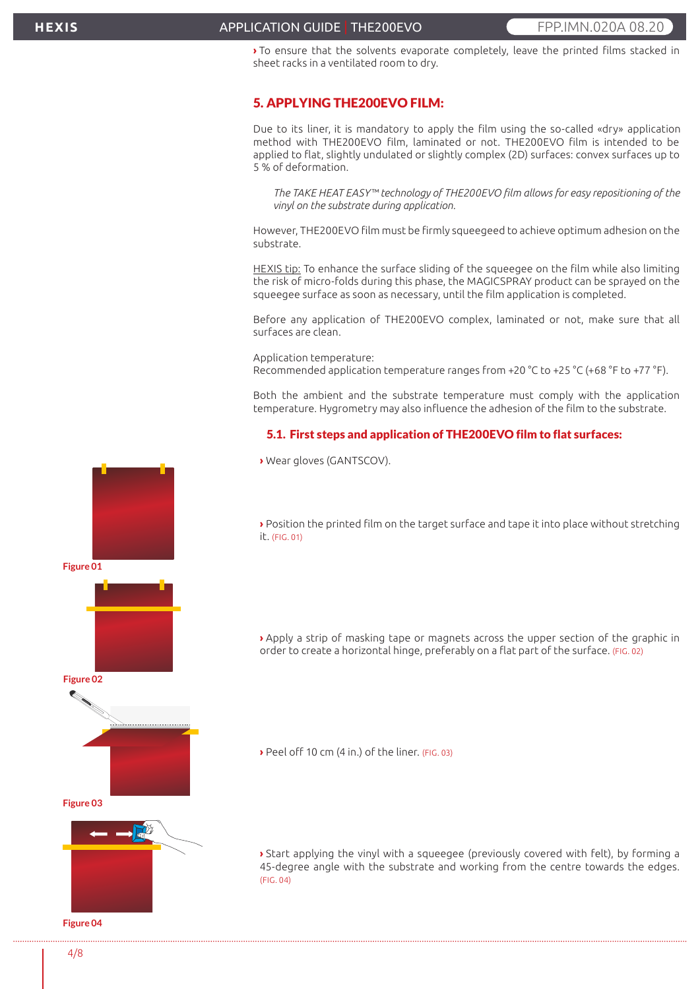#### APPLICATION GUIDE | THE200EVO **FPP.IMM.020A08.20**

**›** To ensure that the solvents evaporate completely, leave the printed films stacked in sheet racks in a ventilated room to dry.

#### 5. APPLYING THE200EVO FILM:

Due to its liner, it is mandatory to apply the film using the so-called «dry» application method with THE200EVO film, laminated or not. THE200EVO film is intended to be applied to flat, slightly undulated or slightly complex (2D) surfaces: convex surfaces up to 5 % of deformation.

*The TAKE HEAT EASY™ technology of THE200EVO film allows for easy repositioning of the vinyl on the substrate during application.*

However, THE200EVO film must be firmly squeegeed to achieve optimum adhesion on the substrate.

HEXIS tip: To enhance the surface sliding of the squeegee on the film while also limiting the risk of micro-folds during this phase, the MAGICSPRAY product can be sprayed on the squeegee surface as soon as necessary, until the film application is completed.

Before any application of THE200EVO complex, laminated or not, make sure that all surfaces are clean.

Application temperature: Recommended application temperature ranges from +20 °C to +25 °C (+68 °F to +77 °F).

Both the ambient and the substrate temperature must comply with the application temperature. Hygrometry may also influence the adhesion of the film to the substrate.

#### 5.1. First steps and application of THE200EVO film to flat surfaces:

**›** Wear gloves (GANTSCOV).

**›** Position the printed film on the target surface and tape it into place without stretching it. (FIG. 01)



**›** Peel off 10 cm (4 in.) of the liner. (FIG. 03)

**›** Start applying the vinyl with a squeegee (previously covered with felt), by forming a 45-degree angle with the substrate and working from the centre towards the edges. (FIG. 04)



**Figure 04**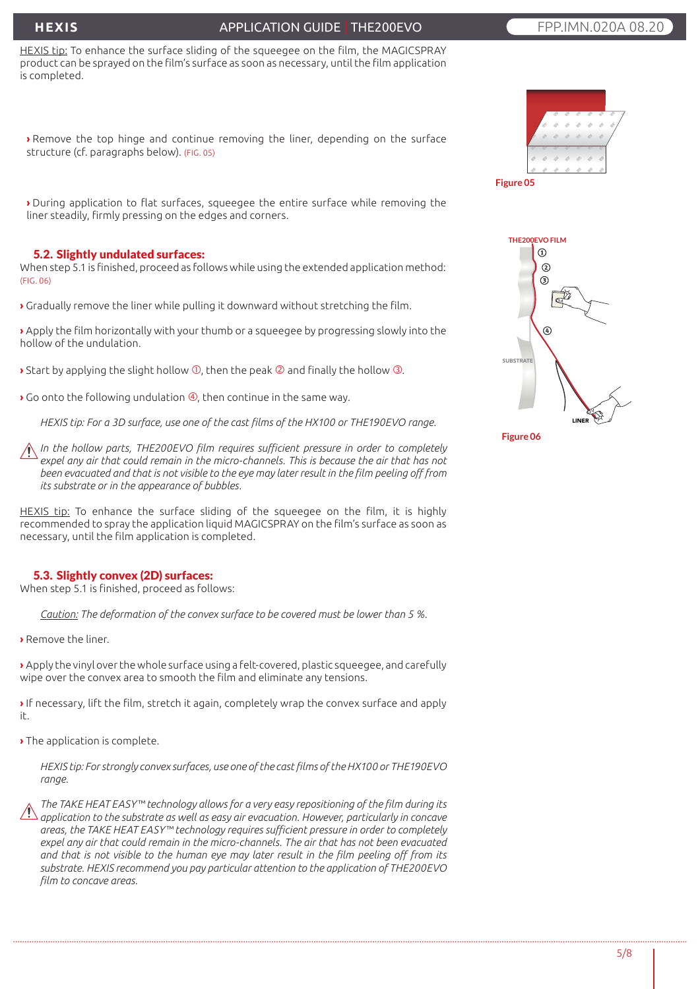# **HEXIS**

## APPLICATION GUIDE | THE200EVO **FPP.IMM.020A 08.20**

HEXIS tip: To enhance the surface sliding of the squeegee on the film, the MAGICSPRAY product can be sprayed on the film's surface as soon as necessary, until the film application is completed.

**›** Remove the top hinge and continue removing the liner, depending on the surface structure (cf. paragraphs below). (FIG. 05)

**›** During application to flat surfaces, squeegee the entire surface while removing the liner steadily, firmly pressing on the edges and corners.

#### 5.2. Slightly undulated surfaces:

When step 5.1 is finished, proceed as follows while using the extended application method: (FIG. 06)

**›** Gradually remove the liner while pulling it downward without stretching the film.

**›** Apply the film horizontally with your thumb or a squeegee by progressing slowly into the hollow of the undulation.

 $\rightarrow$  Start by applying the slight hollow  $\overline{0}$ , then the peak  $\overline{0}$  and finally the hollow  $\overline{0}$ .

**Go onto the following undulation**  $\Phi$ **, then continue in the same way.** 

*HEXIS tip: For a 3D surface, use one of the cast films of the HX100 or THE190EVO range.*

*In the hollow parts, THE200EVO film requires sufficient pressure in order to completely*  expel any air that could remain in the micro-channels. This is because the air that has not *been evacuated and that is not visible to the eye may later result in the film peeling off from its substrate or in the appearance of bubbles.*

HEXIS tip: To enhance the surface sliding of the squeegee on the film, it is highly recommended to spray the application liquid MAGICSPRAY on the film's surface as soon as necessary, until the film application is completed.

#### 5.3. Slightly convex (2D) surfaces:

When step 5.1 is finished, proceed as follows:

*Caution: The deformation of the convex surface to be covered must be lower than 5 %.*

**›** Remove the liner.

**›** Apply the vinyl over the whole surface using a felt-covered, plastic squeegee, and carefully wipe over the convex area to smooth the film and eliminate any tensions.

**›** If necessary, lift the film, stretch it again, completely wrap the convex surface and apply it.

**›** The application is complete.

*HEXIS tip: For strongly convex surfaces, use one of the cast films of the HX100 or THE190EVO range.*

*The TAKE HEAT EASY™ technology allows for a very easy repositioning of the film during its application to the substrate as well as easy air evacuation. However, particularly in concave areas, the TAKE HEAT EASY™ technology requires sufficient pressure in order to completely expel any air that could remain in the micro-channels. The air that has not been evacuated and that is not visible to the human eye may later result in the film peeling off from its substrate. HEXIS recommend you pay particular attention to the application of THE200EVO film to concave areas.*





**Figure 06**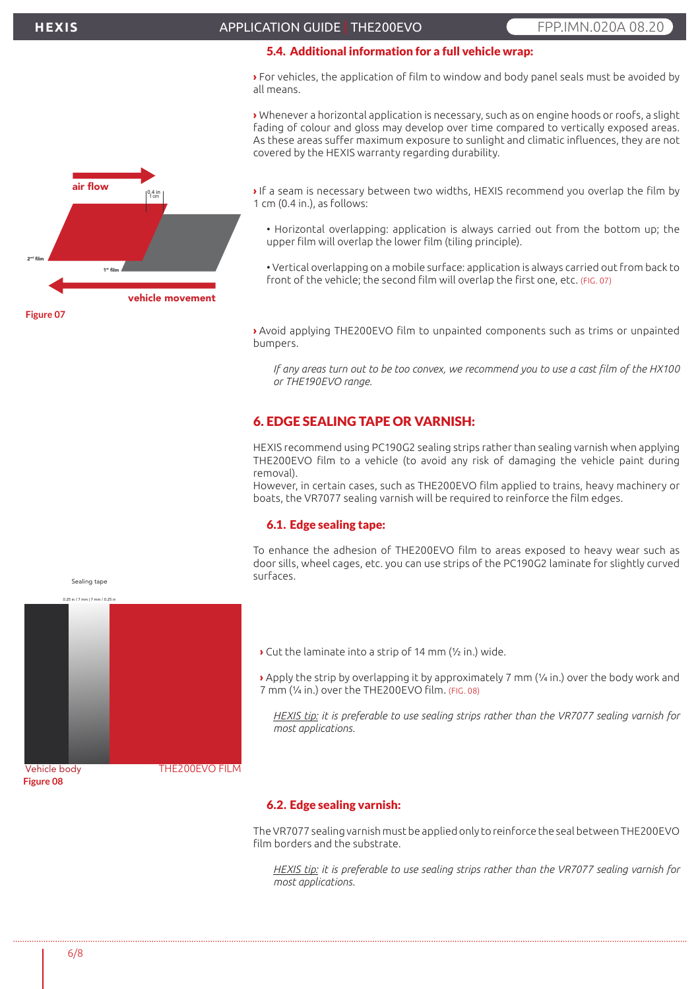# 5.4. Additional information for a full vehicle wrap:

**›** For vehicles, the application of film to window and body panel seals must be avoided by all means.

**›** Whenever a horizontal application is necessary, such as on engine hoods or roofs, a slight fading of colour and gloss may develop over time compared to vertically exposed areas. As these areas suffer maximum exposure to sunlight and climatic influences, they are not covered by the HEXIS warranty regarding durability.



**›** If a seam is necessary between two widths, HEXIS recommend you overlap the film by 1 cm (0.4 in.), as follows:

- Horizontal overlapping: application is always carried out from the bottom up; the upper film will overlap the lower film (tiling principle).
- Vertical overlapping on a mobile surface: application is always carried out from back to front of the vehicle; the second film will overlap the first one, etc. (FIG. 07)

**›** Avoid applying THE200EVO film to unpainted components such as trims or unpainted bumpers.

*If any areas turn out to be too convex, we recommend you to use a cast film of the HX100 or THE190EVO range.*

# 6. EDGE SEALING TAPE OR VARNISH:

HEXIS recommend using PC190G2 sealing strips rather than sealing varnish when applying THE200EVO film to a vehicle (to avoid any risk of damaging the vehicle paint during removal).

However, in certain cases, such as THE200EVO film applied to trains, heavy machinery or boats, the VR7077 sealing varnish will be required to reinforce the film edges.

#### 6.1. Edge sealing tape:

To enhance the adhesion of THE200EVO film to areas exposed to heavy wear such as door sills, wheel cages, etc. you can use strips of the PC190G2 laminate for slightly curved surfaces.

**›** Cut the laminate into a strip of 14 mm (½ in.) wide.

**›** Apply the strip by overlapping it by approximately 7 mm (¼ in.) over the body work and 7 mm (¼ in.) over the THE200EVO film. (FIG. 08)

*HEXIS tip: it is preferable to use sealing strips rather than the VR7077 sealing varnish for most applications.*

#### 6.2. Edge sealing varnish:

The VR7077 sealing varnish must be applied only to reinforce the seal between THE200EVO film borders and the substrate.

*HEXIS tip: it is preferable to use sealing strips rather than the VR7077 sealing varnish for most applications.*



Sealing tape

Vehicle.body **Figure 08**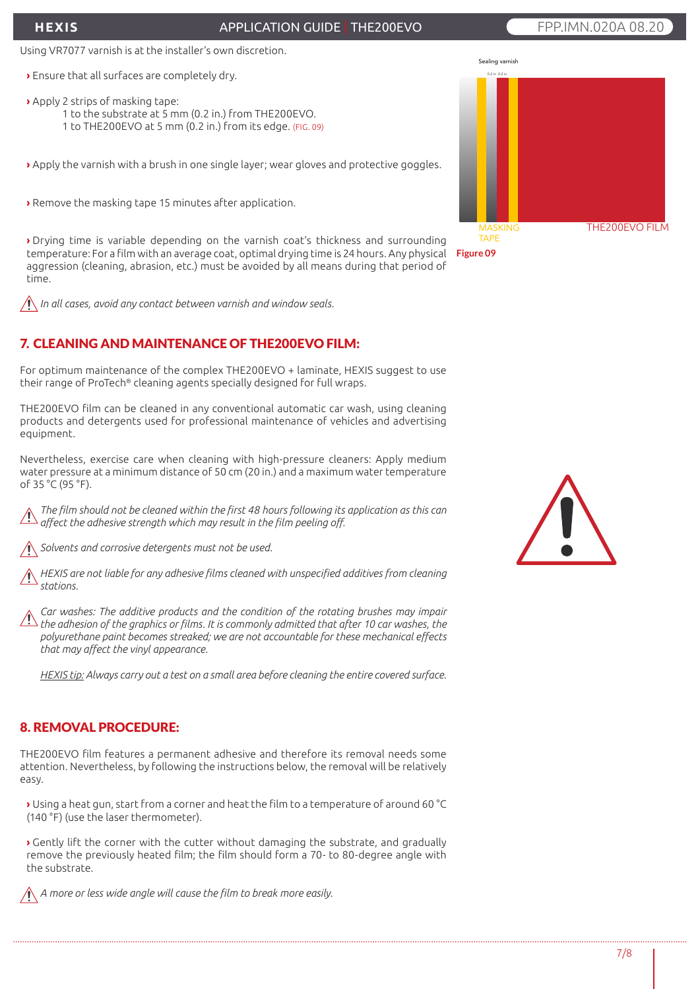# **HEXIS**

# APPLICATION GUIDE | THE200EVO **FPP.IMM.020A 08.20**

# Using VR7077 varnish is at the installer's own discretion.

- **›** Ensure that all surfaces are completely dry.
- **›** Apply 2 strips of masking tape:
	- 1 to the substrate at 5 mm (0.2 in.) from THE200EVO.
	- 1 to THE200EVO at 5 mm (0.2 in.) from its edge. (FIG. 09)

**›** Apply the varnish with a brush in one single layer; wear gloves and protective goggles.

**›** Remove the masking tape 15 minutes after application.

**›** Drying time is variable depending on the varnish coat's thickness and surrounding temperature: For a film with an average coat, optimal drying time is 24 hours. Any physical aggression (cleaning, abrasion, etc.) must be avoided by all means during that period of time.

*In all cases, avoid any contact between varnish and window seals.*

# 7. CLEANING AND MAINTENANCE OF THE200EVO FILM:

For optimum maintenance of the complex THE200EVO + laminate, HEXIS suggest to use their range of ProTech® cleaning agents specially designed for full wraps.

THE200EVO film can be cleaned in any conventional automatic car wash, using cleaning products and detergents used for professional maintenance of vehicles and advertising equipment.

Nevertheless, exercise care when cleaning with high-pressure cleaners: Apply medium water pressure at a minimum distance of 50 cm (20 in.) and a maximum water temperature of 35 °C (95 °F).

*The film should not be cleaned within the first 48 hours following its application as this can affect the adhesive strength which may result in the film peeling off.*

*Solvents and corrosive detergents must not be used.*

*HEXIS are not liable for any adhesive films cleaned with unspecified additives from cleaning stations.*

*Car washes: The additive products and the condition of the rotating brushes may impair the adhesion of the graphics or films. It is commonly admitted that after 10 car washes, the polyurethane paint becomes streaked; we are not accountable for these mechanical effects that may affect the vinyl appearance.*

*HEXIS tip: Always carry out a test on a small area before cleaning the entire covered surface.*

# 8. REMOVAL PROCEDURE:

THE200EVO film features a permanent adhesive and therefore its removal needs some attention. Nevertheless, by following the instructions below, the removal will be relatively easy.

**›** Using a heat gun, start from a corner and heat the film to a temperature of around 60 °C (140 °F) (use the laser thermometer).

**›** Gently lift the corner with the cutter without damaging the substrate, and gradually remove the previously heated film; the film should form a 70- to 80-degree angle with the substrate.

*A more or less wide angle will cause the film to break more easily.*



**Figure 09**